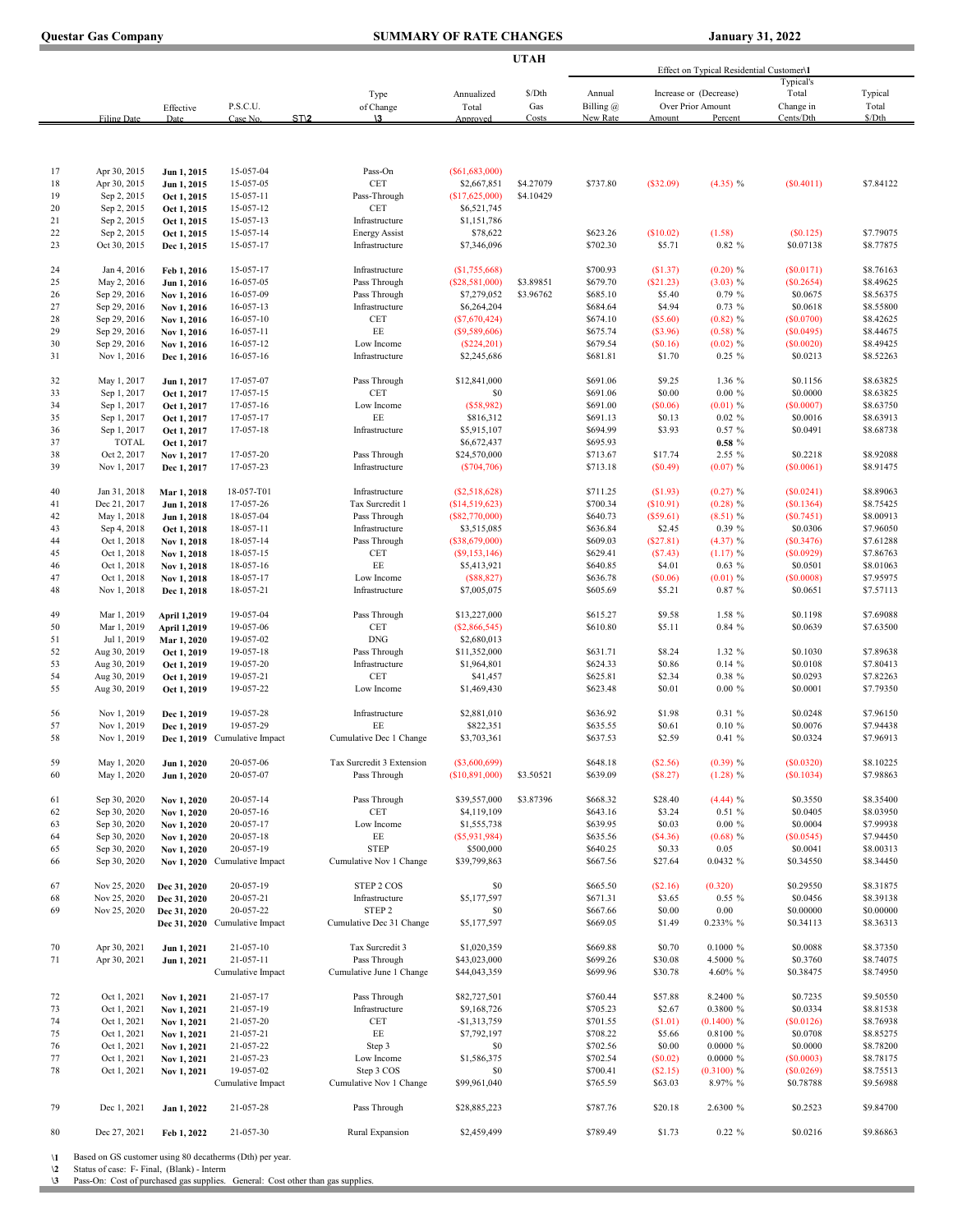| <b>Questar Gas Company</b> |  |  |
|----------------------------|--|--|
|                            |  |  |

## **COMMARY OF RATE CHANGES** January 31, 2022

and the control of the control of the control of the

|          |                              |                            |                                |                                       | UTAH                        | Effect on Typical Residential Customer\1 |                      |                    |                         |                         |                        |
|----------|------------------------------|----------------------------|--------------------------------|---------------------------------------|-----------------------------|------------------------------------------|----------------------|--------------------|-------------------------|-------------------------|------------------------|
|          |                              |                            |                                | Type                                  | Annualized                  | \$/Dth                                   | Annual               |                    | Increase or (Decrease)  | Typical's<br>Total      | Typical                |
|          |                              | Effective                  | P.S.C.U.                       | of Change                             | Total                       | Gas                                      | Billing @            |                    | Over Prior Amount       | Change in               | Total                  |
|          | <b>Filing Date</b>           | Date                       | ST <sub>12</sub><br>Case No    | \3                                    | Approved                    | Costs                                    | New Rate             | Amount             | Percent                 | Cents/Dth               | \$/Dth                 |
|          |                              |                            |                                |                                       |                             |                                          |                      |                    |                         |                         |                        |
| 17       | Apr 30, 2015                 | Jun 1, 2015                | 15-057-04                      | Pass-On                               | (S61, 683, 000)             |                                          |                      |                    |                         |                         |                        |
| 18       | Apr 30, 2015                 | Jun 1, 2015                | 15-057-05                      | <b>CET</b>                            | \$2,667,851                 | \$4.27079                                | \$737.80             | (S32.09)           | (4.35) %                | (S0.4011)               | \$7.84122              |
| 19       | Sep 2, 2015                  | Oct 1, 2015                | 15-057-11                      | Pass-Through                          | (\$17,625,000)              | \$4.10429                                |                      |                    |                         |                         |                        |
| 20       | Sep 2, 2015                  | Oct 1, 2015                | 15-057-12                      | CET                                   | \$6,521,745                 |                                          |                      |                    |                         |                         |                        |
| 21       | Sep 2, 2015                  | Oct 1, 2015                | 15-057-13                      | Infrastructure                        | \$1,151,786                 |                                          |                      |                    |                         |                         |                        |
| 22       | Sep 2, 2015                  | Oct 1, 2015                | 15-057-14                      | <b>Energy Assist</b>                  | \$78,622                    |                                          | \$623.26             | (S10.02)           | (1.58)                  | (S0.125)                | \$7.79075              |
| 23       | Oct 30, 2015                 | Dec 1, 2015                | 15-057-17                      | Infrastructure                        | \$7,346,096                 |                                          | \$702.30             | \$5.71             | 0.82%                   | \$0.07138               | \$8.77875              |
| 24       | Jan 4, 2016                  | Feb 1, 2016                | 15-057-17                      | Infrastructure                        | (S1,755,668)                |                                          | \$700.93             | (S1.37)            | $(0.20)$ %              | (S0.0171)               | \$8.76163              |
| 25       | May 2, 2016                  | Jun 1, 2016                | 16-057-05                      | Pass Through                          | (S28, 581, 000)             | \$3.89851                                | \$679.70             | (S21.23)           | (3.03) %                | (\$0.2654)              | \$8.49625              |
| 26       | Sep 29, 2016                 | Nov 1, 2016                | 16-057-09                      | Pass Through                          | \$7,279,052                 | \$3.96762                                | \$685.10             | \$5.40             | 0.79%                   | \$0.0675                | \$8.56375<br>\$8.55800 |
| 27<br>28 | Sep 29, 2016<br>Sep 29, 2016 | Nov 1, 2016<br>Nov 1, 2016 | 16-057-13<br>16-057-10         | Infrastructure<br>CET                 | \$6,264,204<br>(S7,670,424) |                                          | \$684.64<br>\$674.10 | \$4.94<br>(S5.60)  | 0.73%<br>$(0.82)$ %     | \$0.0618<br>(S0.0700)   | \$8.42625              |
| 29       | Sep 29, 2016                 | Nov 1, 2016                | $16 - 057 - 11$                | EE                                    | (S9, 589, 606)              |                                          | \$675.74             | (S3.96)            | $(0.58)$ %              | (S0.0495)               | \$8.44675              |
| 30       | Sep 29, 2016                 | Nov 1, 2016                | 16-057-12                      | Low Income                            | $(\$224, 201)$              |                                          | \$679.54             | (S0.16)            | $(0.02)$ %              | (S0.0020)               | \$8.49425              |
| 31       | Nov 1, 2016                  | Dec 1, 2016                | 16-057-16                      | Infrastructure                        | \$2,245,686                 |                                          | \$681.81             | \$1.70             | $0.25 \%$               | \$0.0213                | \$8.52263              |
| 32       | May 1, 2017                  | Jun 1, 2017                | 17-057-07                      | Pass Through                          | \$12,841,000                |                                          | \$691.06             | \$9.25             | 1.36 %                  | \$0.1156                | \$8.63825              |
| 33       | Sep 1, 2017                  | Oct 1, 2017                | 17-057-15                      | <b>CET</b>                            | \$0                         |                                          | \$691.06             | \$0.00             | $0.00 \%$               | \$0.0000                | \$8.63825              |
| 34       | Sep 1, 2017                  | Oct 1, 2017                | 17-057-16                      | Low Income                            | (S58,982)                   |                                          | \$691.00             | (S0.06)            | $(0.01)$ %              | (\$0.0007)              | \$8.63750              |
| 35       | Sep 1, 2017                  | Oct 1, 2017                | 17-057-17                      | EE                                    | \$816,312                   |                                          | \$691.13             | \$0.13             | 0.02 %                  | \$0.0016                | \$8.63913              |
| 36       | Sep 1, 2017                  | Oct 1, 2017                | 17-057-18                      | Infrastructure                        | \$5,915,107                 |                                          | \$694.99             | \$3.93             | 0.57%                   | \$0.0491                | \$8.68738              |
| 37       | <b>TOTAL</b>                 | Oct 1, 2017                |                                |                                       | \$6,672,437                 |                                          | \$695.93             |                    | 0.58%                   |                         |                        |
| 38       | Oct 2, 2017                  | Nov 1, 2017                | 17-057-20                      | Pass Through                          | \$24,570,000                |                                          | \$713.67             | \$17.74            | 2.55 %                  | \$0.2218                | \$8.92088              |
| 39       | Nov 1, 2017                  | Dec 1, 2017                | 17-057-23                      | Infrastructure                        | (S704, 706)                 |                                          | \$713.18             | (S0.49)            | $(0.07)$ %              | (S0.0061)               | \$8.91475              |
| 40       | Jan 31, 2018                 | Mar 1, 2018                | 18-057-T01                     | Infrastructure                        | (S2,518,628)                |                                          | \$711.25             | (S1.93)            | $(0.27)$ %              | (S0.0241)               | \$8.89063              |
| 41       | Dec 21, 2017                 | Jun 1, 2018                | 17-057-26                      | Tax Surcredit 1                       | (\$14,519,623)              |                                          | \$700.34             | (S10.91)           | $(0.28)$ %              | (S0.1364)               | \$8.75425              |
| 42       | May 1, 2018                  | Jun 1, 2018                | 18-057-04                      | Pass Through                          | (\$82,770,000)              |                                          | \$640.73             | (S59.61)           | $(8.51)$ %              | (S0.7451)               | \$8.00913              |
| 43       | Sep 4, 2018                  | Oct 1, 2018                | 18-057-11                      | Infrastructure                        | \$3,515,085                 |                                          | \$636.84             | \$2.45             | 0.39%                   | \$0.0306                | \$7.96050              |
| 44       | Oct 1, 2018                  | Nov 1, 2018                | 18-057-14                      | Pass Through                          | (\$38,679,000)              |                                          | \$609.03             | (S27.81)           | $(4.37)$ %              | (S0.3476)               | \$7.61288              |
| 45       | Oct 1, 2018                  | Nov 1, 2018                | 18-057-15                      | <b>CET</b>                            | (S9, 153, 146)              |                                          | \$629.41             | (S7.43)            | $(1.17)$ %              | (S0.0929)               | \$7.86763              |
| 46       | Oct 1, 2018                  | Nov 1, 2018                | 18-057-16                      | EE.                                   | \$5,413,921                 |                                          | \$640.85             | \$4.01             | 0.63%                   | \$0.0501                | \$8.01063              |
| 47       | Oct 1, 2018                  | Nov 1, 2018                | 18-057-17                      | Low Income                            | (\$88,827)                  |                                          | \$636.78             | (S0.06)            | $(0.01)$ %              | (S0.0008)               | \$7.95975              |
| 48       | Nov 1, 2018                  | Dec 1, 2018                | 18-057-21                      | Infrastructure                        | \$7,005,075                 |                                          | \$605.69             | \$5.21             | 0.87 %                  | \$0.0651                | \$7.57113              |
| 49       | Mar 1, 2019                  | April 1,2019               | 19-057-04                      | Pass Through                          | \$13,227,000                |                                          | \$615.27             | \$9.58             | 1.58 %                  | \$0.1198                | \$7.69088              |
| 50       | Mar 1, 2019                  | April 1,2019               | 19-057-06                      | CET                                   | (S2,866,545)                |                                          | \$610.80             | \$5.11             | 0.84 %                  | \$0.0639                | \$7.63500              |
| 51       | Jul 1, 2019                  | Mar 1, 2020                | 19-057-02                      | <b>DNG</b>                            | \$2,680,013                 |                                          |                      |                    |                         |                         |                        |
| 52       | Aug 30, 2019                 | Oct 1, 2019                | 19-057-18                      | Pass Through                          | \$11,352,000                |                                          | \$631.71             | \$8.24             | 1.32 %                  | \$0.1030                | \$7.89638              |
| 53       | Aug 30, 2019                 | Oct 1, 2019                | 19-057-20                      | Infrastructure                        | \$1,964,801                 |                                          | \$624.33             | \$0.86             | 0.14%                   | \$0.0108                | \$7.80413              |
| 54       | Aug 30, 2019                 | Oct 1, 2019                | 19-057-21                      | <b>CET</b>                            | \$41,457                    |                                          | \$625.81             | \$2.34             | 0.38 %                  | \$0.0293                | \$7.82263              |
| 55       | Aug 30, 2019                 | Oct 1, 2019                | 19-057-22                      | Low Income                            | \$1,469,430                 |                                          | \$623.48             | \$0.01             | $0.00 \%$               | \$0.0001                | \$7.79350              |
| 56       | Nov 1, 2019                  | Dec 1, 2019                | 19-057-28                      | Infrastructure                        | \$2,881,010                 |                                          | \$636.92             | \$1.98             | 0.31 %                  | \$0.0248                | \$7.96150              |
| 57       | Nov 1, 2019                  | Dec 1, 2019                | 19-057-29                      | EE                                    | \$822,351                   |                                          | \$635.55             | \$0.61             | $0.10 \%$               | \$0.0076                | \$7.94438              |
| 58       | Nov 1, 2019                  |                            | Dec 1, 2019 Cumulative Impact  | Cumulative Dec 1 Change               | \$3,703,361                 |                                          | \$637.53             | \$2.59             | 0.41%                   | \$0.0324                | \$7.96913              |
| 59       | May 1, 2020                  | Jun 1, 2020                | 20-057-06                      | Tax Surcredit 3 Extension             | (\$3,600,699)               |                                          | \$648.18             | (S2.56)            | $(0.39)$ %              | (S0.0320)               | \$8.10225              |
| 60       | May 1, 2020                  | Jun 1, 2020                | 20-057-07                      | Pass Through                          | (\$10,891,000)              | \$3.50521                                | \$639.09             | (S8.27)            | $(1.28)$ %              | (S0.1034)               | \$7.98863              |
| 61       | Sep 30, 2020                 | Nov 1, 2020                | 20-057-14                      | Pass Through                          | \$39,557,000                | \$3.87396                                | \$668.32             | \$28.40            | $(4.44)$ %              | \$0.3550                | \$8.35400              |
| 62       | Sep 30, 2020                 | Nov 1, 2020                | 20-057-16                      | <b>CET</b>                            | \$4,119,109                 |                                          | \$643.16             | \$3.24             | 0.51%                   | \$0.0405                | \$8.03950              |
| 63       | Sep 30, 2020                 | Nov 1, 2020                | 20-057-17                      | Low Income                            | \$1,555,738                 |                                          | \$639.95             | \$0.03             | $0.00 \%$               | \$0.0004                | \$7.99938              |
| 64       | Sep 30, 2020                 | Nov 1, 2020                | 20-057-18                      | EE                                    | (S5, 931, 984)              |                                          | \$635.56             | (\$4.36)           | $(0.68)$ %              | (\$0.0545)              | \$7.94450              |
| 65       | Sep 30, 2020                 | Nov 1, 2020                | 20-057-19                      | <b>STEP</b>                           | \$500,000                   |                                          | \$640.25<br>\$667.56 | \$0.33             | 0.05<br>0.0432 %        | \$0.0041                | \$8.00313              |
| 66       | Sep 30, 2020                 | Nov 1, 2020                | Cumulative Impact              | Cumulative Nov 1 Change               | \$39,799,863                |                                          |                      | \$27.64            |                         | \$0.34550               | \$8.34450              |
| 67       | Nov 25, 2020                 | Dec 31, 2020               | 20-057-19                      | STEP 2 COS                            | \$0                         |                                          | \$665.50             | (S2.16)            | (0.320)                 | \$0.29550               | \$8.31875              |
| 68       | Nov 25, 2020                 | Dec 31, 2020               | 20-057-21                      | Infrastructure                        | \$5,177,597                 |                                          | \$671.31             | \$3.65             | $0.55\%$                | \$0.0456                | \$8.39138              |
| 69       | Nov 25, 2020                 | Dec 31, 2020               | 20-057-22                      | STEP <sub>2</sub>                     | \$0                         |                                          | \$667.66             | \$0.00             | 0.00                    | \$0.00000               | \$0.00000              |
|          |                              |                            | Dec 31, 2020 Cumulative Impact | Cumulative Dec 31 Change              | \$5,177,597                 |                                          | \$669.05             | \$1.49             | 0.233% %                | \$0.34113               | \$8.36313              |
| 70       | Apr 30, 2021                 | Jun 1, 2021                | 21-057-10                      | Tax Surcredit 3                       | \$1,020,359                 |                                          | \$669.88             | \$0.70             | 0.1000 %                | \$0.0088                | \$8.37350              |
| 71       | Apr 30, 2021                 | Jun 1, 2021                | 21-057-11                      | Pass Through                          | \$43,023,000                |                                          | \$699.26             | \$30.08            | 4.5000 %                | \$0.3760                | \$8.74075              |
|          |                              |                            | Cumulative Impact              | Cumulative June 1 Change              | \$44,043,359                |                                          | \$699.96             | \$30.78            | 4.60% %                 | \$0.38475               | \$8.74950              |
| 72       | Oct 1, 2021                  | Nov 1, 2021                | 21-057-17                      | Pass Through                          | \$82,727,501                |                                          | \$760.44             | \$57.88            | 8.2400 %                | \$0.7235                | \$9.50550              |
| 73       | Oct 1, 2021                  | Nov 1, 2021                | 21-057-19                      | Infrastructure                        | \$9,168,726                 |                                          | \$705.23             | \$2.67             | 0.3800 %                | \$0.0334                | \$8.81538              |
| 74       | Oct 1, 2021                  | Nov 1, 2021                | 21-057-20                      | CET                                   | -\$1,313,759                |                                          | \$701.55             | (S1.01)            | $(0.1400)$ %            | (\$0.0126)              | \$8.76938              |
| 75       | Oct 1, 2021                  | Nov 1, 2021                | 21-057-21                      | $\rm EE$                              | \$7,792,197                 |                                          | \$708.22             | \$5.66             | 0.8100 %                | \$0.0708                | \$8.85275              |
| 76       | Oct 1, 2021                  | Nov 1, 2021                | 21-057-22                      | Step 3                                | \$0                         |                                          | \$702.56             | \$0.00             | 0.0000 %                | \$0.0000                | \$8.78200              |
| 77       | Oct 1, 2021                  | Nov 1, 2021                | 21-057-23                      | Low Income                            | \$1,586,375                 |                                          | \$702.54             | (S0.02)            | 0.0000~%                | (S0.0003)               | \$8.78175              |
| 78       | Oct 1, 2021                  | Nov 1, 2021                | 19-057-02<br>Cumulative Impact | Step 3 COS<br>Cumulative Nov 1 Change | \$0<br>\$99,961,040         |                                          | \$700.41<br>\$765.59 | (S2.15)<br>\$63.03 | $(0.3100)$ %<br>8.97% % | (\$0.0269)<br>\$0.78788 | \$8.75513<br>\$9.56988 |
|          |                              |                            |                                |                                       |                             |                                          |                      |                    |                         |                         |                        |
| 79       | Dec 1, 2021                  | Jan 1, 2022                | 21-057-28                      | Pass Through                          | \$28,885,223                |                                          | \$787.76             | \$20.18            | 2.6300 %                | \$0.2523                | \$9.84700              |
| 80       | Dec 27, 2021                 | Feb 1, 2022                | 21-057-30                      | Rural Expansion                       | \$2,459,499                 |                                          | \$789.49             | \$1.73             | $0.22 \%$               | \$0.0216                | \$9.86863              |
|          |                              |                            |                                |                                       |                             |                                          |                      |                    |                         |                         |                        |

**\1 \2 \3**

Î.

Based on GS customer using 80 decatherms (Dth) per year. Status of case: F- Final, (Blank) - Interm Pass-On: Cost of purchased gas supplies. General: Cost other than gas supplies.